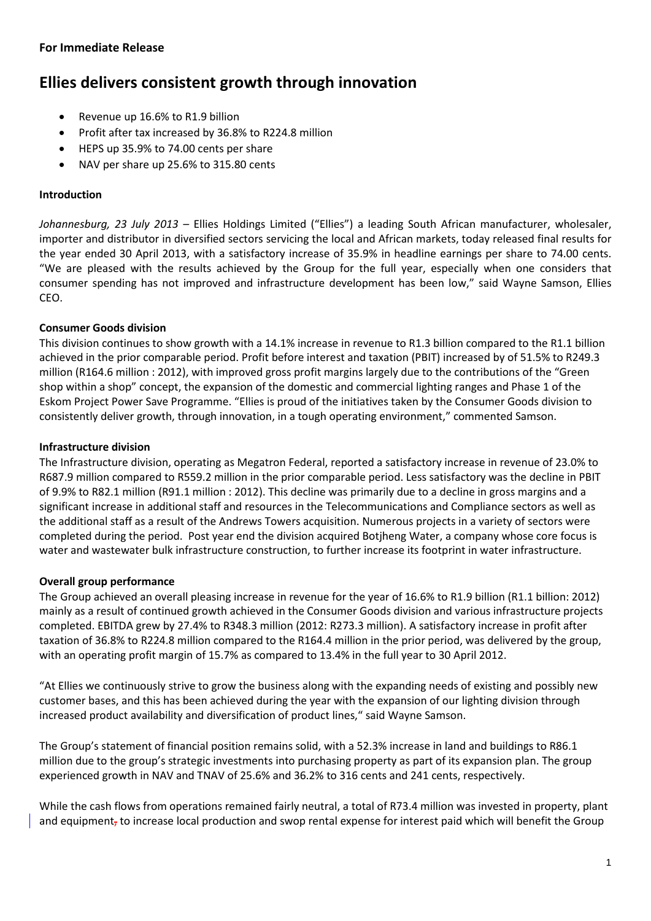# **Ellies delivers consistent growth through innovation**

- Revenue up 16.6% to R1.9 billion
- Profit after tax increased by 36.8% to R224.8 million
- HEPS up 35.9% to 74.00 cents per share
- NAV per share up 25.6% to 315.80 cents

#### **Introduction**

*Johannesburg, 23 July 2013 –* Ellies Holdings Limited ("Ellies") a leading South African manufacturer, wholesaler, importer and distributor in diversified sectors servicing the local and African markets, today released final results for the year ended 30 April 2013, with a satisfactory increase of 35.9% in headline earnings per share to 74.00 cents. "We are pleased with the results achieved by the Group for the full year, especially when one considers that consumer spending has not improved and infrastructure development has been low," said Wayne Samson, Ellies CEO.

## **Consumer Goods division**

This division continues to show growth with a 14.1% increase in revenue to R1.3 billion compared to the R1.1 billion achieved in the prior comparable period. Profit before interest and taxation (PBIT) increased by of 51.5% to R249.3 million (R164.6 million : 2012), with improved gross profit margins largely due to the contributions of the "Green shop within a shop" concept, the expansion of the domestic and commercial lighting ranges and Phase 1 of the Eskom Project Power Save Programme. "Ellies is proud of the initiatives taken by the Consumer Goods division to consistently deliver growth, through innovation, in a tough operating environment," commented Samson.

## **Infrastructure division**

The Infrastructure division, operating as Megatron Federal, reported a satisfactory increase in revenue of 23.0% to R687.9 million compared to R559.2 million in the prior comparable period. Less satisfactory was the decline in PBIT of 9.9% to R82.1 million (R91.1 million : 2012). This decline was primarily due to a decline in gross margins and a significant increase in additional staff and resources in the Telecommunications and Compliance sectors as well as the additional staff as a result of the Andrews Towers acquisition. Numerous projects in a variety of sectors were completed during the period. Post year end the division acquired Botjheng Water, a company whose core focus is water and wastewater bulk infrastructure construction, to further increase its footprint in water infrastructure.

#### **Overall group performance**

The Group achieved an overall pleasing increase in revenue for the year of 16.6% to R1.9 billion (R1.1 billion: 2012) mainly as a result of continued growth achieved in the Consumer Goods division and various infrastructure projects completed. EBITDA grew by 27.4% to R348.3 million (2012: R273.3 million). A satisfactory increase in profit after taxation of 36.8% to R224.8 million compared to the R164.4 million in the prior period, was delivered by the group, with an operating profit margin of 15.7% as compared to 13.4% in the full year to 30 April 2012.

"At Ellies we continuously strive to grow the business along with the expanding needs of existing and possibly new customer bases, and this has been achieved during the year with the expansion of our lighting division through increased product availability and diversification of product lines," said Wayne Samson.

The Group's statement of financial position remains solid, with a 52.3% increase in land and buildings to R86.1 million due to the group's strategic investments into purchasing property as part of its expansion plan. The group experienced growth in NAV and TNAV of 25.6% and 36.2% to 316 cents and 241 cents, respectively.

While the cash flows from operations remained fairly neutral, a total of R73.4 million was invested in property, plant and equipment, to increase local production and swop rental expense for interest paid which will benefit the Group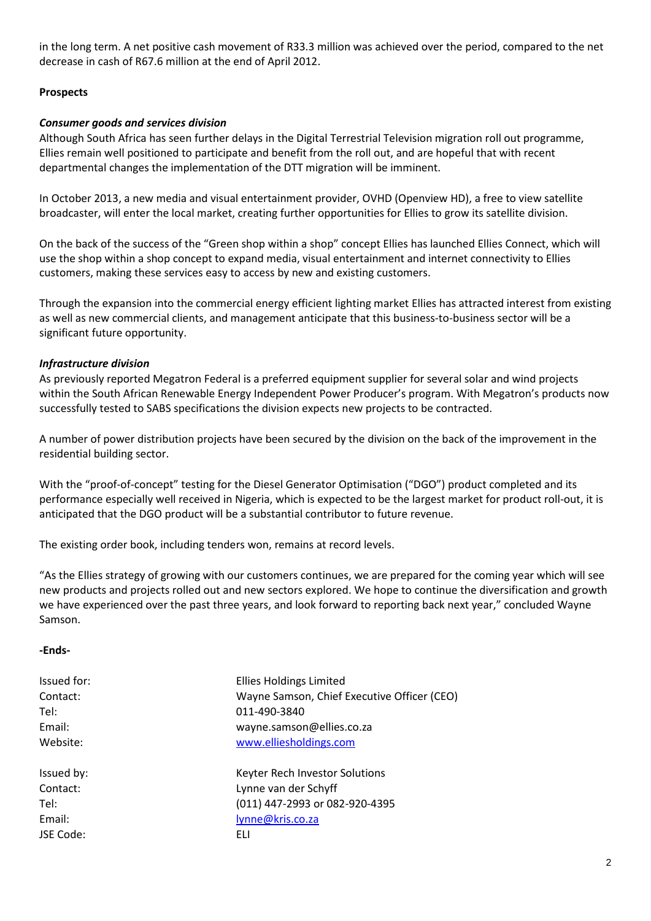in the long term. A net positive cash movement of R33.3 million was achieved over the period, compared to the net decrease in cash of R67.6 million at the end of April 2012.

#### **Prospects**

#### *Consumer goods and services division*

Although South Africa has seen further delays in the Digital Terrestrial Television migration roll out programme, Ellies remain well positioned to participate and benefit from the roll out, and are hopeful that with recent departmental changes the implementation of the DTT migration will be imminent.

In October 2013, a new media and visual entertainment provider, OVHD (Openview HD), a free to view satellite broadcaster, will enter the local market, creating further opportunities for Ellies to grow its satellite division.

On the back of the success of the "Green shop within a shop" concept Ellies has launched Ellies Connect, which will use the shop within a shop concept to expand media, visual entertainment and internet connectivity to Ellies customers, making these services easy to access by new and existing customers.

Through the expansion into the commercial energy efficient lighting market Ellies has attracted interest from existing as well as new commercial clients, and management anticipate that this business-to-business sector will be a significant future opportunity.

## *Infrastructure division*

As previously reported Megatron Federal is a preferred equipment supplier for several solar and wind projects within the South African Renewable Energy Independent Power Producer's program. With Megatron's products now successfully tested to SABS specifications the division expects new projects to be contracted.

A number of power distribution projects have been secured by the division on the back of the improvement in the residential building sector.

With the "proof-of-concept" testing for the Diesel Generator Optimisation ("DGO") product completed and its performance especially well received in Nigeria, which is expected to be the largest market for product roll-out, it is anticipated that the DGO product will be a substantial contributor to future revenue.

The existing order book, including tenders won, remains at record levels.

"As the Ellies strategy of growing with our customers continues, we are prepared for the coming year which will see new products and projects rolled out and new sectors explored. We hope to continue the diversification and growth we have experienced over the past three years, and look forward to reporting back next year," concluded Wayne Samson.

#### **-Ends-**

| Issued for: | <b>Ellies Holdings Limited</b>              |
|-------------|---------------------------------------------|
| Contact:    | Wayne Samson, Chief Executive Officer (CEO) |
| Tel:        | 011-490-3840                                |
| Email:      | wayne.samson@ellies.co.za                   |
| Website:    | www.elliesholdings.com                      |
| Issued by:  | Keyter Rech Investor Solutions              |
| Contact:    | Lynne van der Schyff                        |
| Tel:        | (011) 447-2993 or 082-920-4395              |
| Email:      | lynne@kris.co.za                            |
| JSE Code:   | FLI                                         |